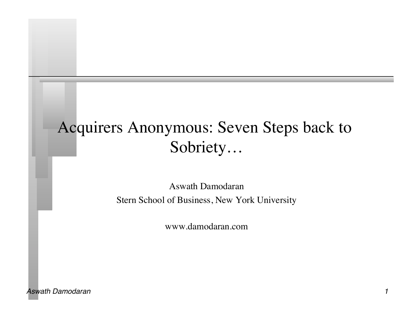# Acquirers Anonymous: Seven Steps back to Sobriety…

Aswath Damodaran Stern School of Business, New York University

www.damodaran.com

*Aswath Damodaran 1*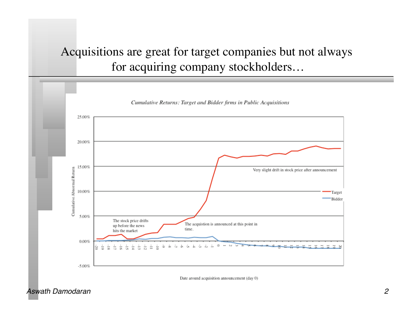# Acquisitions are great for target companies but not always for acquiring company stockholders…



Date around acquisition announcement (day 0)

*Aswath Damodaran 2*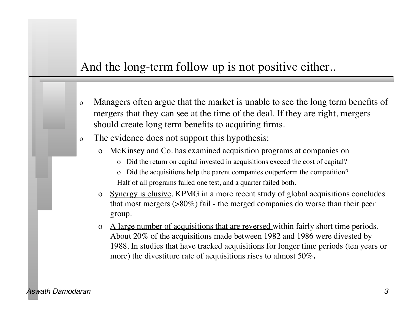#### And the long-term follow up is not positive either..

- o Managers often argue that the market is unable to see the long term benefits of mergers that they can see at the time of the deal. If they are right, mergers should create long term benefits to acquiring firms.
- o The evidence does not support this hypothesis:
	- McKinsey and Co. has examined acquisition programs at companies on
		- o Did the return on capital invested in acquisitions exceed the cost of capital?
		- o Did the acquisitions help the parent companies outperform the competition? Half of all programs failed one test, and a quarter failed both.
	- o Synergy is elusive. KPMG in a more recent study of global acquisitions concludes that most mergers (>80%) fail - the merged companies do worse than their peer group.
	- o A large number of acquisitions that are reversed within fairly short time periods. About 20% of the acquisitions made between 1982 and 1986 were divested by 1988. In studies that have tracked acquisitions for longer time periods (ten years or more) the divestiture rate of acquisitions rises to almost 50%**.**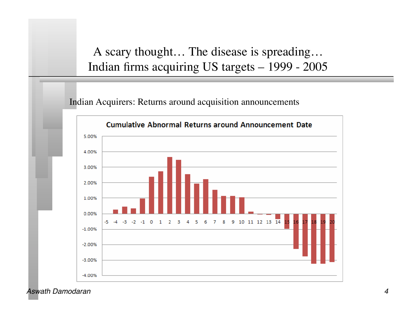### A scary thought… The disease is spreading… Indian firms acquiring US targets – 1999 - 2005

Indian Acquirers: Returns around acquisition announcements



*Aswath Damodaran 4*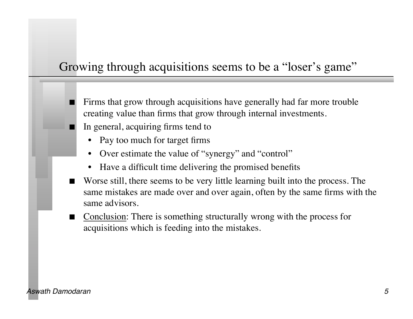#### Growing through acquisitions seems to be a "loser's game"

- Firms that grow through acquisitions have generally had far more trouble creating value than firms that grow through internal investments.
- In general, acquiring firms tend to
	- Pay too much for target firms
	- Over estimate the value of "synergy" and "control"
	- Have a difficult time delivering the promised benefits
- Worse still, there seems to be very little learning built into the process. The same mistakes are made over and over again, often by the same firms with the same advisors.
- Conclusion: There is something structurally wrong with the process for acquisitions which is feeding into the mistakes.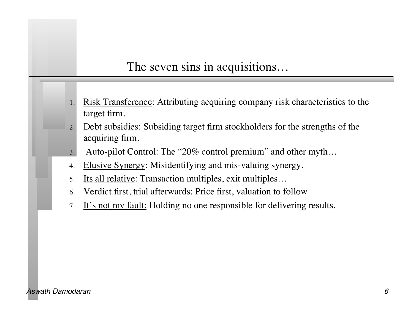#### The seven sins in acquisitions…

- Risk Transference: Attributing acquiring company risk characteristics to the target firm.
- 2. Debt subsidies: Subsiding target firm stockholders for the strengths of the acquiring firm.
- 3. Auto-pilot Control: The "20% control premium" and other myth…
- 4. Elusive Synergy: Misidentifying and mis-valuing synergy.
- 5. Its all relative: Transaction multiples, exit multiples…
- 6. Verdict first, trial afterwards: Price first, valuation to follow
- 7. It's not my fault: Holding no one responsible for delivering results.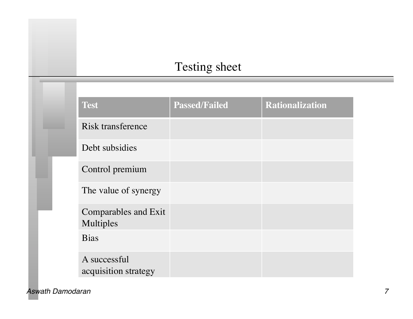# Testing sheet

|  | <b>Test</b>                              | <b>Passed/Failed</b> | <b>Rationalization</b> |
|--|------------------------------------------|----------------------|------------------------|
|  | Risk transference                        |                      |                        |
|  | Debt subsidies                           |                      |                        |
|  | Control premium                          |                      |                        |
|  | The value of synergy                     |                      |                        |
|  | <b>Comparables and Exit</b><br>Multiples |                      |                        |
|  | <b>Bias</b>                              |                      |                        |
|  | A successful<br>acquisition strategy     |                      |                        |

*Aswath Damodaran 7*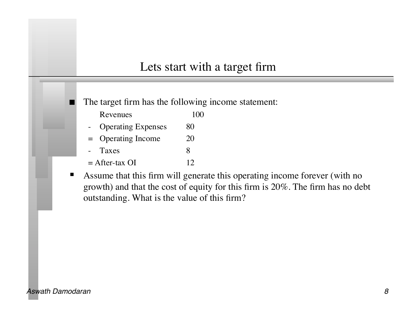#### Lets start with a target firm

The target firm has the following income statement:

- Revenues 100
- Operating Expenses 80
- = Operating Income 20
- Taxes 8
- $=$  After-tax OI 12
- Assume that this firm will generate this operating income forever (with no growth) and that the cost of equity for this firm is 20%. The firm has no debt outstanding. What is the value of this firm?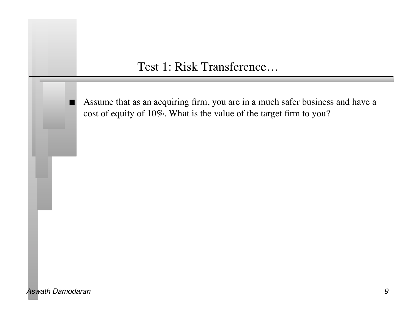#### Test 1: Risk Transference…

Assume that as an acquiring firm, you are in a much safer business and have a cost of equity of 10%. What is the value of the target firm to you?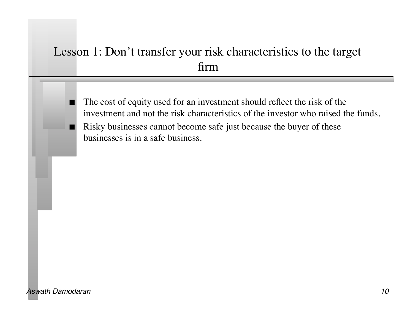### Lesson 1: Don't transfer your risk characteristics to the target firm

 The cost of equity used for an investment should reflect the risk of the investment and not the risk characteristics of the investor who raised the funds. Risky businesses cannot become safe just because the buyer of these businesses is in a safe business.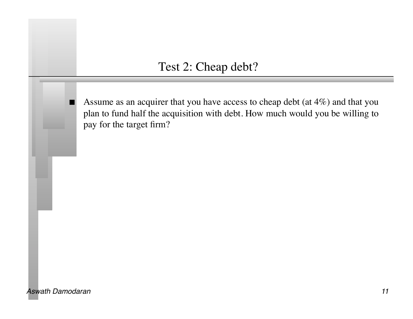#### Test 2: Cheap debt?

 Assume as an acquirer that you have access to cheap debt (at 4%) and that you plan to fund half the acquisition with debt. How much would you be willing to pay for the target firm?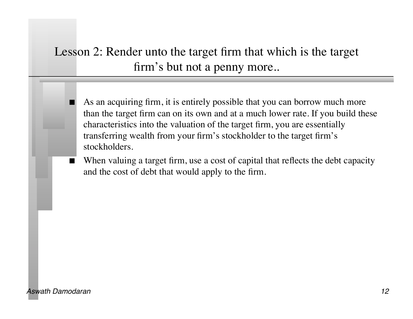### Lesson 2: Render unto the target firm that which is the target firm's but not a penny more..

- As an acquiring firm, it is entirely possible that you can borrow much more than the target firm can on its own and at a much lower rate. If you build these characteristics into the valuation of the target firm, you are essentially transferring wealth from your firm's stockholder to the target firm's stockholders.
- When valuing a target firm, use a cost of capital that reflects the debt capacity and the cost of debt that would apply to the firm.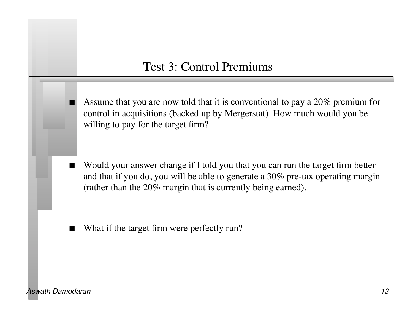#### Test 3: Control Premiums

 Assume that you are now told that it is conventional to pay a 20% premium for control in acquisitions (backed up by Mergerstat). How much would you be willing to pay for the target firm?

- Would your answer change if I told you that you can run the target firm better and that if you do, you will be able to generate a 30% pre-tax operating margin (rather than the 20% margin that is currently being earned).
- What if the target firm were perfectly run?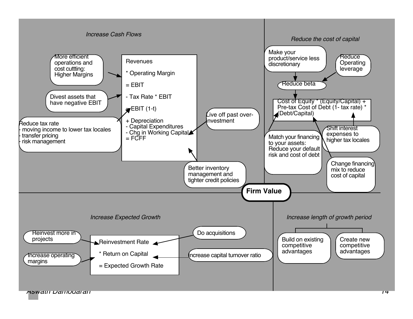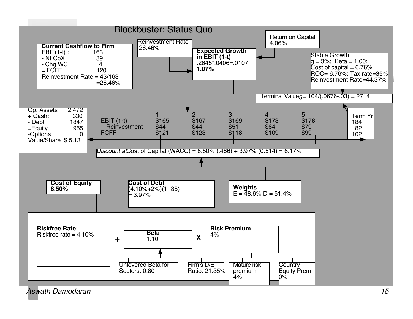

*Aswath Damodaran 15*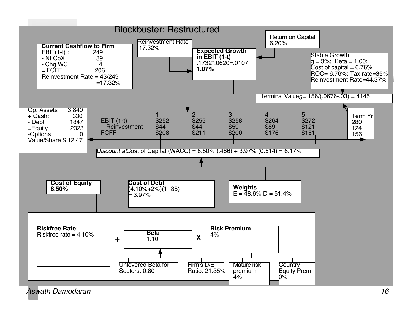

*Aswath Damodaran 16*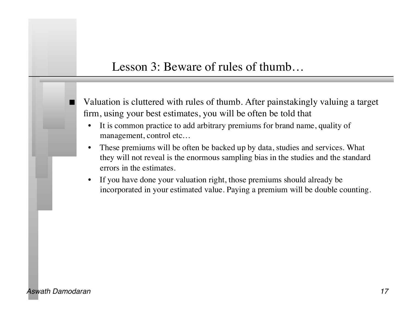#### Lesson 3: Beware of rules of thumb…

- Valuation is cluttered with rules of thumb. After painstakingly valuing a target firm, using your best estimates, you will be often be told that
	- It is common practice to add arbitrary premiums for brand name, quality of management, control etc…
	- These premiums will be often be backed up by data, studies and services. What they will not reveal is the enormous sampling bias in the studies and the standard errors in the estimates.
	- If you have done your valuation right, those premiums should already be incorporated in your estimated value. Paying a premium will be double counting.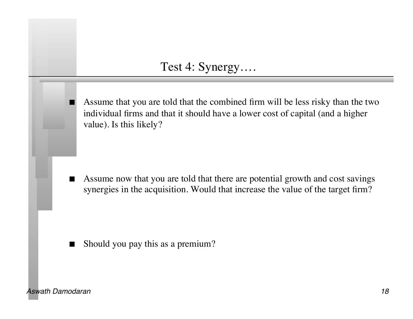#### Test 4: Synergy….

 Assume that you are told that the combined firm will be less risky than the two individual firms and that it should have a lower cost of capital (and a higher value). Is this likely?

Assume now that you are told that there are potential growth and cost savings synergies in the acquisition. Would that increase the value of the target firm?

Should you pay this as a premium?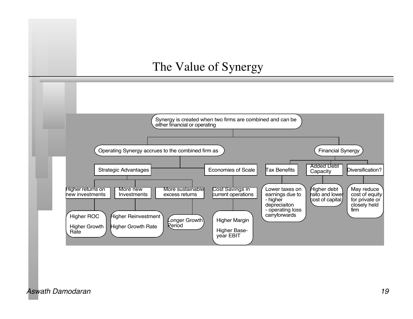#### The Value of Synergy

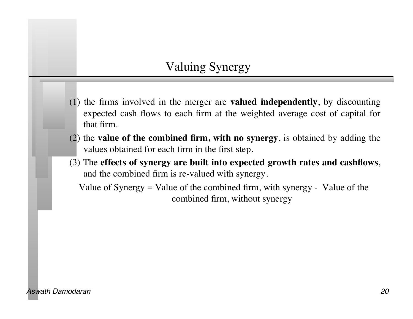### Valuing Synergy

- (1) the firms involved in the merger are **valued independently**, by discounting expected cash flows to each firm at the weighted average cost of capital for that firm.
- (2) the **value of the combined firm, with no synergy**, is obtained by adding the values obtained for each firm in the first step.
- (3) The **effects of synergy are built into expected growth rates and cashflows**, and the combined firm is re-valued with synergy.

Value of Synergy  $=$  Value of the combined firm, with synergy - Value of the combined firm, without synergy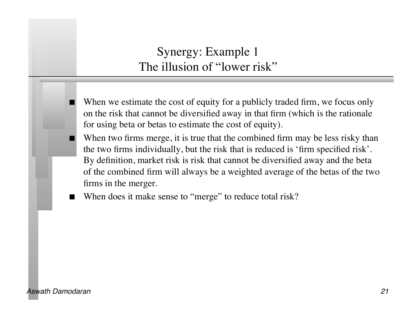### Synergy: Example 1 The illusion of "lower risk"

- When we estimate the cost of equity for a publicly traded firm, we focus only on the risk that cannot be diversified away in that firm (which is the rationale for using beta or betas to estimate the cost of equity).
- When two firms merge, it is true that the combined firm may be less risky than the two firms individually, but the risk that is reduced is 'firm specified risk'. By definition, market risk is risk that cannot be diversified away and the beta of the combined firm will always be a weighted average of the betas of the two firms in the merger.
- When does it make sense to "merge" to reduce total risk?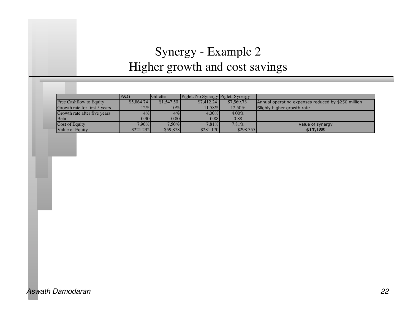# Synergy - Example 2 Higher growth and cost savings

|                                | P&G        | Gillette          | Piglet: No Synergy Piglet: Synergy |            |                                                    |
|--------------------------------|------------|-------------------|------------------------------------|------------|----------------------------------------------------|
| <b>Free Cashflow to Equity</b> | \$5,864.74 | \$1,547.50        | \$7,412.24                         | \$7,569.73 | Annual operating expenses reduced by \$250 million |
| Growth rate for first 5 years  | $12\%$     | $10\%$            | 11.58%                             | 12.50%     | Slighly higher growth rate                         |
| Growth rate after five years   | $4\%$      | $4\%$             | $4.00\%$                           | $4.00\%$   |                                                    |
| <b>B</b> eta                   | 0.90       | 0.80 <sub>1</sub> | 0.88                               | 0.88       |                                                    |
| Cost of Equity                 | $7.90\%$   | $7.50\%$          | $7.81\%$                           | $7.81\%$   | Value of synergy                                   |
| <b>Value of Equity</b>         | \$221.292  | \$59,878          | \$281.170                          | \$298,355  | \$17,185                                           |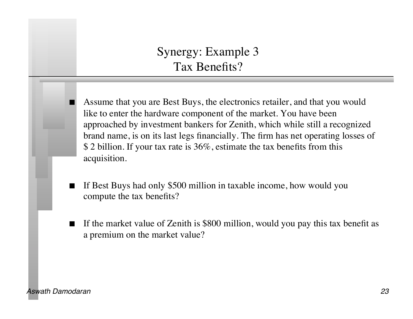### Synergy: Example 3 Tax Benefits?

 Assume that you are Best Buys, the electronics retailer, and that you would like to enter the hardware component of the market. You have been approached by investment bankers for Zenith, which while still a recognized brand name, is on its last legs financially. The firm has net operating losses of \$ 2 billion. If your tax rate is 36%, estimate the tax benefits from this acquisition.

- If Best Buys had only \$500 million in taxable income, how would you compute the tax benefits?
- If the market value of Zenith is \$800 million, would you pay this tax benefit as a premium on the market value?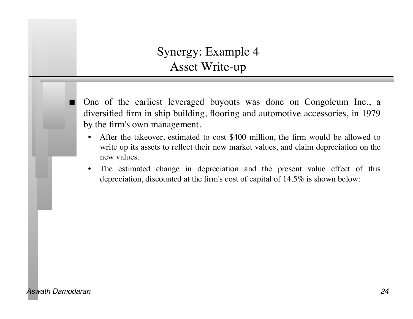### Synergy: Example 4 Asset Write-up

- One of the earliest leveraged buyouts was done on Congoleum Inc., a diversified firm in ship building, flooring and automotive accessories, in 1979 by the firm's own management.
	- After the takeover, estimated to cost \$400 million, the firm would be allowed to write up its assets to reflect their new market values, and claim depreciation on the new values.
	- The estimated change in depreciation and the present value effect of this depreciation, discounted at the firm's cost of capital of 14.5% is shown below: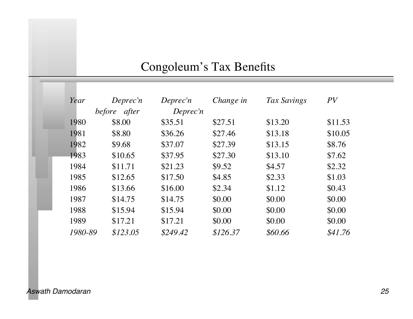# Congoleum's Tax Benefits

| Year    | Deprec'n<br>before after | Deprec'n<br>Deprec'n | Change in | Tax Savings | PV      |
|---------|--------------------------|----------------------|-----------|-------------|---------|
| 1980    | \$8.00                   | \$35.51              | \$27.51   | \$13.20     | \$11.53 |
| 1981    | \$8.80                   | \$36.26              | \$27.46   | \$13.18     | \$10.05 |
| 1982    | \$9.68                   | \$37.07              | \$27.39   | \$13.15     | \$8.76  |
| 1983    | \$10.65                  | \$37.95              | \$27.30   | \$13.10     | \$7.62  |
| 1984    | \$11.71                  | \$21.23              | \$9.52    | \$4.57      | \$2.32  |
| 1985    | \$12.65                  | \$17.50              | \$4.85    | \$2.33      | \$1.03  |
| 1986    | \$13.66                  | \$16.00              | \$2.34    | \$1.12      | \$0.43  |
| 1987    | \$14.75                  | \$14.75              | \$0.00    | \$0.00      | \$0.00  |
| 1988    | \$15.94                  | \$15.94              | \$0.00    | \$0.00      | \$0.00  |
| 1989    | \$17.21                  | \$17.21              | \$0.00    | \$0.00      | \$0.00  |
| 1980-89 | \$123.05                 | \$249.42             | \$126.37  | \$60.66     | \$41.76 |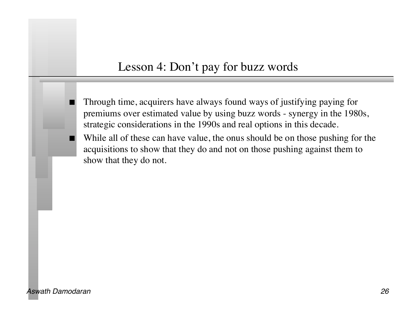#### Lesson 4: Don't pay for buzz words

 Through time, acquirers have always found ways of justifying paying for premiums over estimated value by using buzz words - synergy in the 1980s, strategic considerations in the 1990s and real options in this decade.

 While all of these can have value, the onus should be on those pushing for the acquisitions to show that they do and not on those pushing against them to show that they do not.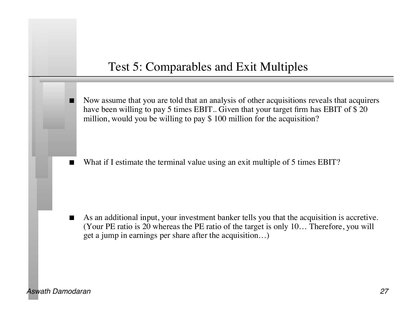#### Test 5: Comparables and Exit Multiples

 Now assume that you are told that an analysis of other acquisitions reveals that acquirers have been willing to pay 5 times EBIT.. Given that your target firm has EBIT of \$ 20 million, would you be willing to pay \$100 million for the acquisition?

What if I estimate the terminal value using an exit multiple of 5 times EBIT?

 As an additional input, your investment banker tells you that the acquisition is accretive. (Your PE ratio is 20 whereas the PE ratio of the target is only 10… Therefore, you will get a jump in earnings per share after the acquisition…)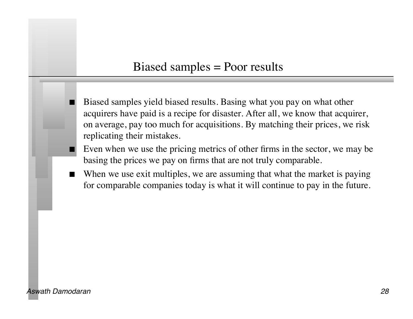#### Biased samples = Poor results

- Biased samples yield biased results. Basing what you pay on what other acquirers have paid is a recipe for disaster. After all, we know that acquirer, on average, pay too much for acquisitions. By matching their prices, we risk replicating their mistakes.
- Even when we use the pricing metrics of other firms in the sector, we may be basing the prices we pay on firms that are not truly comparable.
- When we use exit multiples, we are assuming that what the market is paying for comparable companies today is what it will continue to pay in the future.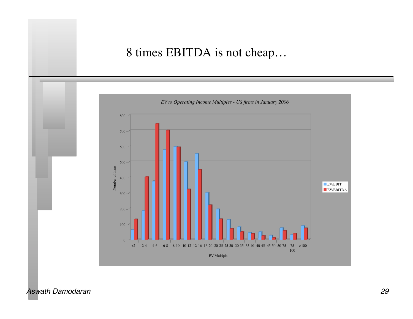### 8 times EBITDA is not cheap…

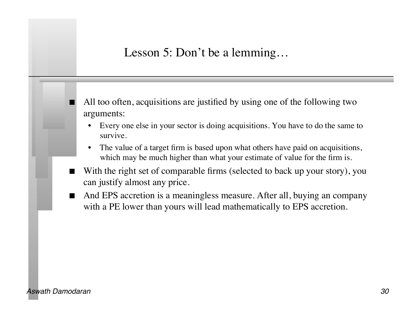Lesson 5: Don't be a lemming...

 All too often, acquisitions are justified by using one of the following two arguments:

- Every one else in your sector is doing acquisitions. You have to do the same to survive.
- The value of a target firm is based upon what others have paid on acquisitions, which may be much higher than what your estimate of value for the firm is.
- With the right set of comparable firms (selected to back up your story), you can justify almost any price.
- And EPS accretion is a meaningless measure. After all, buying an company with a PE lower than yours will lead mathematically to EPS accretion.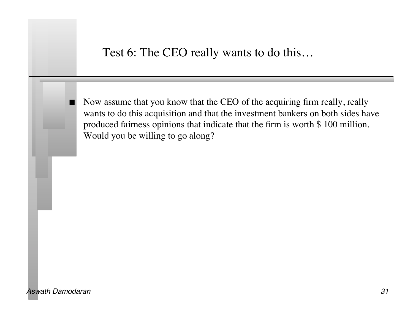#### Test 6: The CEO really wants to do this…

 Now assume that you know that the CEO of the acquiring firm really, really wants to do this acquisition and that the investment bankers on both sides have produced fairness opinions that indicate that the firm is worth \$ 100 million. Would you be willing to go along?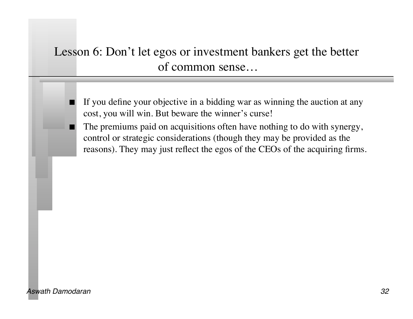### Lesson 6: Don't let egos or investment bankers get the better of common sense…

- If you define your objective in a bidding war as winning the auction at any cost, you will win. But beware the winner's curse!
- The premiums paid on acquisitions often have nothing to do with synergy, control or strategic considerations (though they may be provided as the reasons). They may just reflect the egos of the CEOs of the acquiring firms.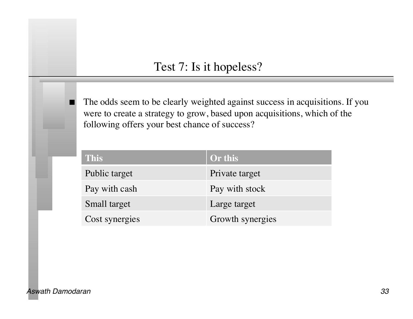#### Test 7: Is it hopeless?

 The odds seem to be clearly weighted against success in acquisitions. If you were to create a strategy to grow, based upon acquisitions, which of the following offers your best chance of success?

| <b>This</b>    | Or this          |
|----------------|------------------|
| Public target  | Private target   |
| Pay with cash  | Pay with stock   |
| Small target   | Large target     |
| Cost synergies | Growth synergies |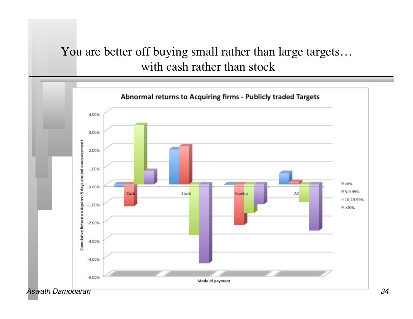# You are better off buying small rather than large targets… with cash rather than stock

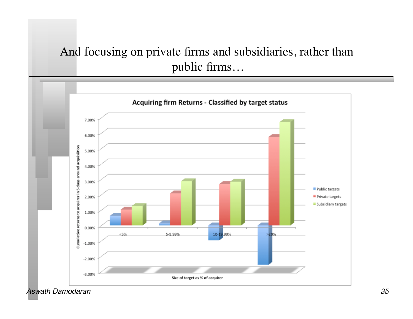### And focusing on private firms and subsidiaries, rather than public firms…

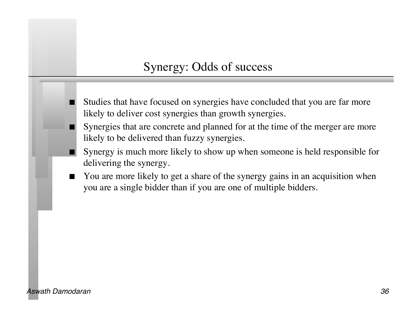### Synergy: Odds of success

- Studies that have focused on synergies have concluded that you are far more likely to deliver cost synergies than growth synergies.
- Synergies that are concrete and planned for at the time of the merger are more likely to be delivered than fuzzy synergies.
- Synergy is much more likely to show up when someone is held responsible for delivering the synergy.
- You are more likely to get a share of the synergy gains in an acquisition when you are a single bidder than if you are one of multiple bidders.